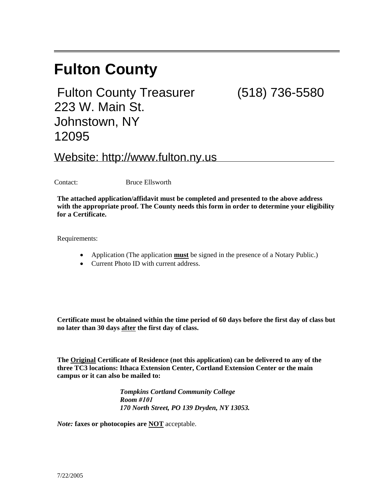# **Fulton County**

Fulton County Treasurer (518) 736-5580 223 W. Main St. Johnstown, NY 12095

Website: http://www.fulton.ny.us

Contact: Bruce Ellsworth

**The attached application/affidavit must be completed and presented to the above address with the appropriate proof. The County needs this form in order to determine your eligibility for a Certificate.** 

Requirements:

- Application (The application **must** be signed in the presence of a Notary Public.)
- Current Photo ID with current address.

**Certificate must be obtained within the time period of 60 days before the first day of class but no later than 30 days after the first day of class.** 

**The Original Certificate of Residence (not this application) can be delivered to any of the three TC3 locations: Ithaca Extension Center, Cortland Extension Center or the main campus or it can also be mailed to:** 

> *Tompkins Cortland Community College Room #101 170 North Street, PO 139 Dryden, NY 13053.*

*Note:* **faxes or photocopies are NOT** acceptable.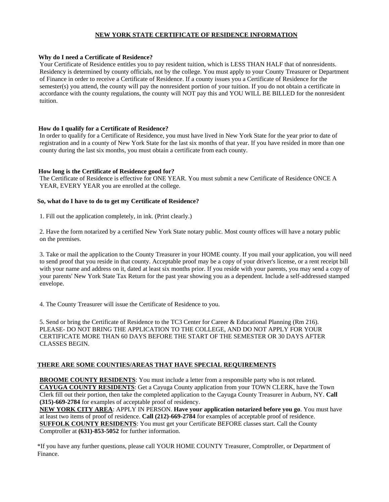### **NEW YORK STATE CERTIFICATE OF RESIDENCE INFORMATION**

#### **Why do I need a Certificate of Residence?**

Your Certificate of Residence entitles you to pay resident tuition, which is LESS THAN HALF that of nonresidents. Residency is determined by county officials, not by the college. You must apply to your County Treasurer or Department of Finance in order to receive a Certificate of Residence. If a county issues you a Certificate of Residence for the semester(s) you attend, the county will pay the nonresident portion of your tuition. If you do not obtain a certificate in accordance with the county regulations, the county will NOT pay this and YOU WILL BE BILLED for the nonresident tuition.

#### **How do I qualify for a Certificate of Residence?**

In order to qualify for a Certificate of Residence, you must have lived in New York State for the year prior to date of registration and in a county of New York State for the last six months of that year. If you have resided in more than one county during the last six months, you must obtain a certificate from each county.

#### **How long is the Certificate of Residence good for?**

The Certificate of Residence is effective for ONE YEAR. You must submit a new Certificate of Residence ONCE A YEAR, EVERY YEAR you are enrolled at the college.

#### **So, what do I have to do to get my Certificate of Residence?**

1. Fill out the application completely, in ink. (Print clearly.)

2. Have the form notarized by a certified New York State notary public. Most county offices will have a notary public on the premises.

3. Take or mail the application to the County Treasurer in your HOME county. If you mail your application, you will need to send proof that you reside in that county. Acceptable proof may be a copy of your driver's license, or a rent receipt bill with your name and address on it, dated at least six months prior. If you reside with your parents, you may send a copy of your parents' New York State Tax Return for the past year showing you as a dependent. Include a self-addressed stamped envelope.

4. The County Treasurer will issue the Certificate of Residence to you.

5. Send or bring the Certificate of Residence to the TC3 Center for Career & Educational Planning (Rm 216). PLEASE- DO NOT BRING THE APPLICATION TO THE COLLEGE, AND DO NOT APPLY FOR YOUR CERTIFICATE MORE THAN 60 DAYS BEFORE THE START OF THE SEMESTER OR 30 DAYS AFTER CLASSES BEGIN.

#### **THERE ARE SOME COUNTIES/AREAS THAT HAVE SPECIAL REQUIREMENTS**

**BROOME COUNTY RESIDENTS:** You must include a letter from a responsible party who is not related. **CAYUGA COUNTY RESIDENTS**: Get a Cayuga County application from your TOWN CLERK, have the Town Clerk fill out their portion, then take the completed application to the Cayuga County Treasurer in Auburn, NY. **Call (315)-669-2784** for examples of acceptable proof of residency.

**NEW YORK CITY AREA**: APPLY IN PERSON. **Have your application notarized before you go**. You must have at least two items of proof of residence. **Call (212)-669-2784** for examples of acceptable proof of residence. **SUFFOLK COUNTY RESIDENTS:** You must get your Certificate BEFORE classes start. Call the County Comptroller at **(631)-853-5052** for further information.

\*If you have any further questions, please call YOUR HOME COUNTY Treasurer, Comptroller, or Department of Finance.